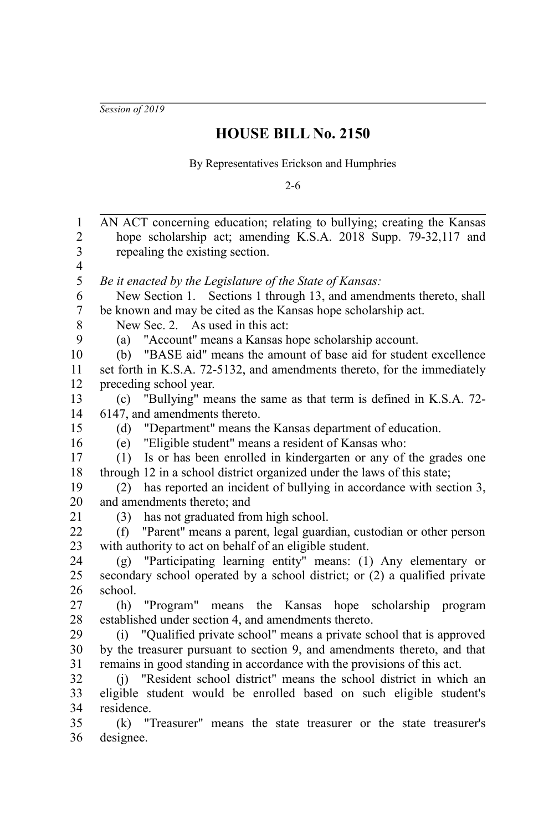*Session of 2019*

## **HOUSE BILL No. 2150**

By Representatives Erickson and Humphries

2-6

| 1              | AN ACT concerning education; relating to bullying; creating the Kansas     |
|----------------|----------------------------------------------------------------------------|
| $\overline{2}$ | hope scholarship act; amending K.S.A. 2018 Supp. 79-32,117 and             |
| 3              | repealing the existing section.                                            |
| 4              |                                                                            |
| 5              | Be it enacted by the Legislature of the State of Kansas:                   |
| 6              | New Section 1. Sections 1 through 13, and amendments thereto, shall        |
| 7              | be known and may be cited as the Kansas hope scholarship act.              |
| 8              | New Sec. 2. As used in this act:                                           |
| 9              | "Account" means a Kansas hope scholarship account.<br>(a)                  |
| 10             | "BASE aid" means the amount of base aid for student excellence<br>(b)      |
| 11             | set forth in K.S.A. 72-5132, and amendments thereto, for the immediately   |
| 12             | preceding school year.                                                     |
| 13             | "Bullying" means the same as that term is defined in K.S.A. 72-<br>(c)     |
| 14             | 6147, and amendments thereto.                                              |
| 15             | "Department" means the Kansas department of education.<br>(d)              |
| 16             | (e) "Eligible student" means a resident of Kansas who:                     |
| 17             | Is or has been enrolled in kindergarten or any of the grades one<br>(1)    |
| 18             | through 12 in a school district organized under the laws of this state;    |
| 19             | has reported an incident of bullying in accordance with section 3,<br>(2)  |
| 20             | and amendments thereto; and                                                |
| 21             | has not graduated from high school.<br>(3)                                 |
| 22             | "Parent" means a parent, legal guardian, custodian or other person<br>(f)  |
| 23             | with authority to act on behalf of an eligible student.                    |
| 24             | "Participating learning entity" means: (1) Any elementary or<br>(g)        |
| 25             | secondary school operated by a school district; or (2) a qualified private |
| 26             | school.                                                                    |
| 27             | "Program" means the Kansas hope scholarship program<br>(h)                 |
| 28             | established under section 4, and amendments thereto.                       |
| 29             | (i) "Qualified private school" means a private school that is approved     |
| 30             | by the treasurer pursuant to section 9, and amendments thereto, and that   |
| 31             | remains in good standing in accordance with the provisions of this act.    |
| 32             | (j) "Resident school district" means the school district in which an       |
| 33             | eligible student would be enrolled based on such eligible student's        |
| 34             | residence.                                                                 |
| 35             | (k) "Treasurer" means the state treasurer or the state treasurer's         |
| 36             | designee.                                                                  |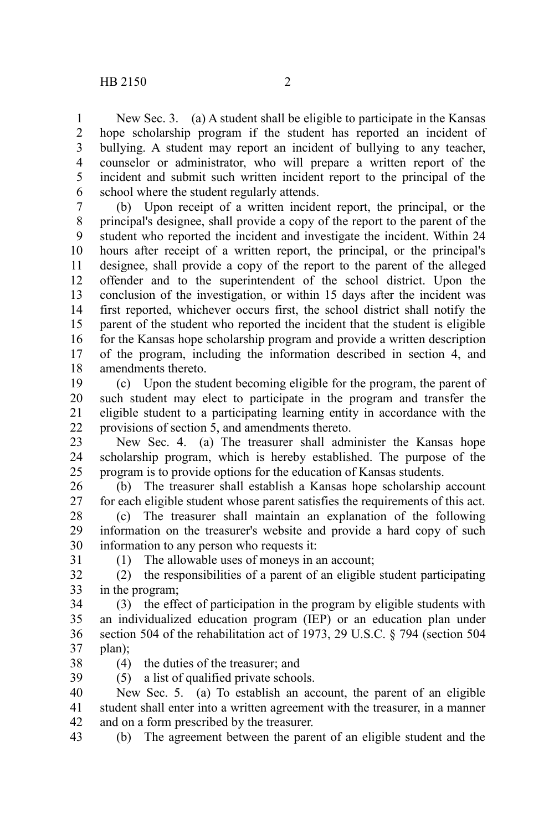New Sec. 3. (a) A student shall be eligible to participate in the Kansas hope scholarship program if the student has reported an incident of bullying. A student may report an incident of bullying to any teacher, counselor or administrator, who will prepare a written report of the incident and submit such written incident report to the principal of the school where the student regularly attends. 1 2 3 4 5 6

(b) Upon receipt of a written incident report, the principal, or the principal's designee, shall provide a copy of the report to the parent of the student who reported the incident and investigate the incident. Within 24 hours after receipt of a written report, the principal, or the principal's designee, shall provide a copy of the report to the parent of the alleged offender and to the superintendent of the school district. Upon the conclusion of the investigation, or within 15 days after the incident was first reported, whichever occurs first, the school district shall notify the parent of the student who reported the incident that the student is eligible for the Kansas hope scholarship program and provide a written description of the program, including the information described in section 4, and amendments thereto. 7 8 9 10 11 12 13 14 15 16 17 18

(c) Upon the student becoming eligible for the program, the parent of such student may elect to participate in the program and transfer the eligible student to a participating learning entity in accordance with the provisions of section 5, and amendments thereto. 19 20 21 22

New Sec. 4. (a) The treasurer shall administer the Kansas hope scholarship program, which is hereby established. The purpose of the program is to provide options for the education of Kansas students. 23 24 25

(b) The treasurer shall establish a Kansas hope scholarship account for each eligible student whose parent satisfies the requirements of this act. 26 27

(c) The treasurer shall maintain an explanation of the following information on the treasurer's website and provide a hard copy of such information to any person who requests it: 28 29 30

31

(1) The allowable uses of moneys in an account;

(2) the responsibilities of a parent of an eligible student participating in the program; 32 33

(3) the effect of participation in the program by eligible students with an individualized education program (IEP) or an education plan under section 504 of the rehabilitation act of 1973, 29 U.S.C. § 794 (section 504 plan); 34 35 36 37

(4) the duties of the treasurer; and 38

(5) a list of qualified private schools. 39

New Sec. 5. (a) To establish an account, the parent of an eligible student shall enter into a written agreement with the treasurer, in a manner and on a form prescribed by the treasurer. 40 41 42

(b) The agreement between the parent of an eligible student and the 43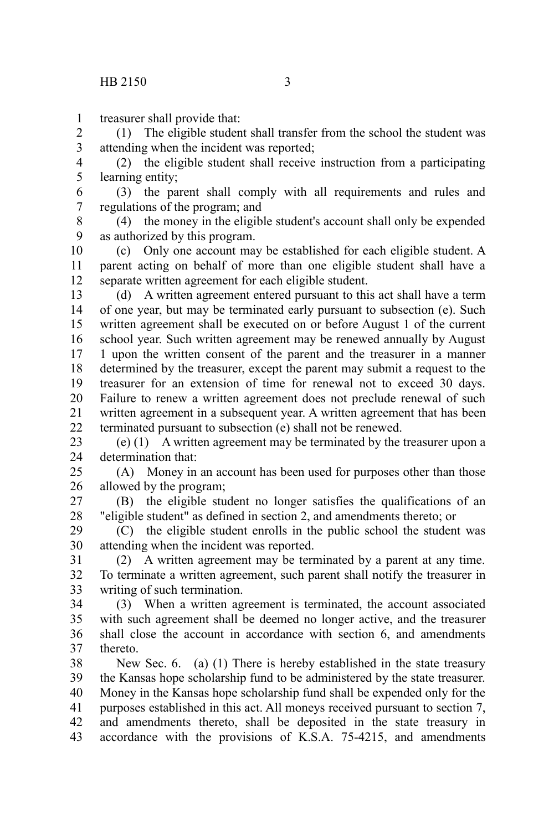treasurer shall provide that: 1

(1) The eligible student shall transfer from the school the student was attending when the incident was reported; 2 3

(2) the eligible student shall receive instruction from a participating learning entity; 4 5

(3) the parent shall comply with all requirements and rules and regulations of the program; and 6 7

(4) the money in the eligible student's account shall only be expended as authorized by this program. 8 9

(c) Only one account may be established for each eligible student. A parent acting on behalf of more than one eligible student shall have a separate written agreement for each eligible student. 10 11 12

(d) A written agreement entered pursuant to this act shall have a term of one year, but may be terminated early pursuant to subsection (e). Such written agreement shall be executed on or before August 1 of the current school year. Such written agreement may be renewed annually by August 1 upon the written consent of the parent and the treasurer in a manner determined by the treasurer, except the parent may submit a request to the treasurer for an extension of time for renewal not to exceed 30 days. Failure to renew a written agreement does not preclude renewal of such written agreement in a subsequent year. A written agreement that has been terminated pursuant to subsection (e) shall not be renewed. 13 14 15 16 17 18 19 20 21 22

(e) (1) A written agreement may be terminated by the treasurer upon a determination that: 23 24

(A) Money in an account has been used for purposes other than those allowed by the program; 25 26

(B) the eligible student no longer satisfies the qualifications of an "eligible student" as defined in section 2, and amendments thereto; or 27 28

(C) the eligible student enrolls in the public school the student was attending when the incident was reported. 29 30

(2) A written agreement may be terminated by a parent at any time. To terminate a written agreement, such parent shall notify the treasurer in writing of such termination. 31 32 33

(3) When a written agreement is terminated, the account associated with such agreement shall be deemed no longer active, and the treasurer shall close the account in accordance with section 6, and amendments thereto. 34 35 36 37

New Sec. 6. (a) (1) There is hereby established in the state treasury the Kansas hope scholarship fund to be administered by the state treasurer. Money in the Kansas hope scholarship fund shall be expended only for the purposes established in this act. All moneys received pursuant to section 7, and amendments thereto, shall be deposited in the state treasury in accordance with the provisions of K.S.A. 75-4215, and amendments 38 39 40 41 42 43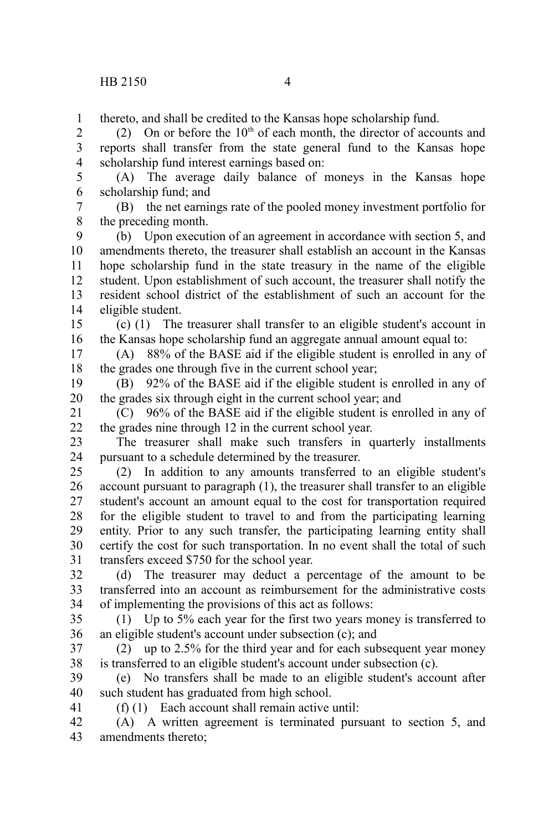thereto, and shall be credited to the Kansas hope scholarship fund. 1

(2) On or before the  $10<sup>th</sup>$  of each month, the director of accounts and reports shall transfer from the state general fund to the Kansas hope scholarship fund interest earnings based on: 2 3 4

(A) The average daily balance of moneys in the Kansas hope scholarship fund; and 5 6

(B) the net earnings rate of the pooled money investment portfolio for the preceding month. 7 8

(b) Upon execution of an agreement in accordance with section 5, and amendments thereto, the treasurer shall establish an account in the Kansas hope scholarship fund in the state treasury in the name of the eligible student. Upon establishment of such account, the treasurer shall notify the resident school district of the establishment of such an account for the eligible student. 9 10 11 12 13 14

(c) (1) The treasurer shall transfer to an eligible student's account in the Kansas hope scholarship fund an aggregate annual amount equal to: 15 16

(A) 88% of the BASE aid if the eligible student is enrolled in any of the grades one through five in the current school year; 17 18

(B) 92% of the BASE aid if the eligible student is enrolled in any of the grades six through eight in the current school year; and 19 20

(C) 96% of the BASE aid if the eligible student is enrolled in any of the grades nine through 12 in the current school year. 21 22

The treasurer shall make such transfers in quarterly installments pursuant to a schedule determined by the treasurer. 23 24

(2) In addition to any amounts transferred to an eligible student's account pursuant to paragraph (1), the treasurer shall transfer to an eligible student's account an amount equal to the cost for transportation required for the eligible student to travel to and from the participating learning entity. Prior to any such transfer, the participating learning entity shall certify the cost for such transportation. In no event shall the total of such transfers exceed \$750 for the school year. 25 26 27 28 29 30 31

(d) The treasurer may deduct a percentage of the amount to be transferred into an account as reimbursement for the administrative costs of implementing the provisions of this act as follows: 32 33 34

(1) Up to 5% each year for the first two years money is transferred to an eligible student's account under subsection (c); and 35 36

(2) up to 2.5% for the third year and for each subsequent year money is transferred to an eligible student's account under subsection (c). 37 38

(e) No transfers shall be made to an eligible student's account after such student has graduated from high school. 39 40

41

(f) (1) Each account shall remain active until:

(A) A written agreement is terminated pursuant to section 5, and amendments thereto; 42 43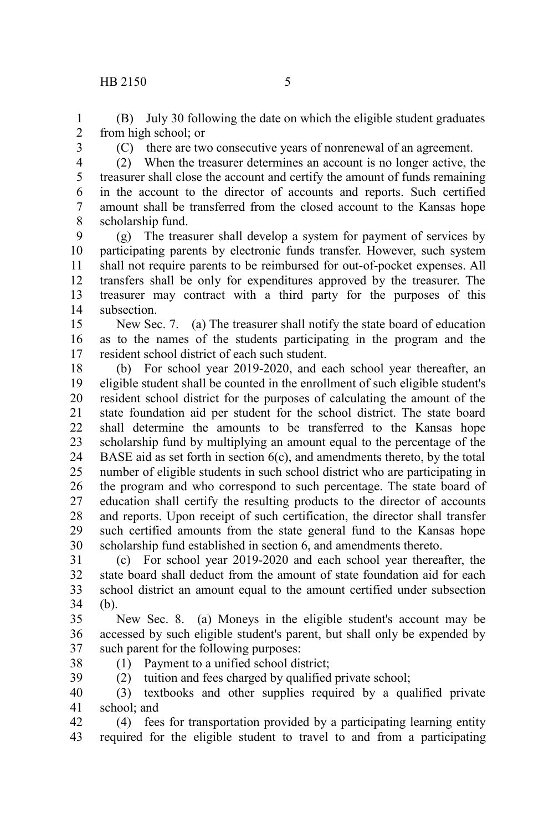(B) July 30 following the date on which the eligible student graduates from high school; or 1 2

3

(C) there are two consecutive years of nonrenewal of an agreement.

4

(2) When the treasurer determines an account is no longer active, the treasurer shall close the account and certify the amount of funds remaining in the account to the director of accounts and reports. Such certified amount shall be transferred from the closed account to the Kansas hope scholarship fund. 5 6 7 8

(g) The treasurer shall develop a system for payment of services by participating parents by electronic funds transfer. However, such system shall not require parents to be reimbursed for out-of-pocket expenses. All transfers shall be only for expenditures approved by the treasurer. The treasurer may contract with a third party for the purposes of this subsection. 9 10 11 12 13 14

New Sec. 7. (a) The treasurer shall notify the state board of education as to the names of the students participating in the program and the resident school district of each such student. 15 16 17

(b) For school year 2019-2020, and each school year thereafter, an eligible student shall be counted in the enrollment of such eligible student's resident school district for the purposes of calculating the amount of the state foundation aid per student for the school district. The state board shall determine the amounts to be transferred to the Kansas hope scholarship fund by multiplying an amount equal to the percentage of the BASE aid as set forth in section 6(c), and amendments thereto, by the total number of eligible students in such school district who are participating in the program and who correspond to such percentage. The state board of education shall certify the resulting products to the director of accounts and reports. Upon receipt of such certification, the director shall transfer such certified amounts from the state general fund to the Kansas hope scholarship fund established in section 6, and amendments thereto. 18 19 20 21 22 23 24 25 26 27 28 29 30

(c) For school year 2019-2020 and each school year thereafter, the state board shall deduct from the amount of state foundation aid for each school district an amount equal to the amount certified under subsection (b). 31 32 33 34

New Sec. 8. (a) Moneys in the eligible student's account may be accessed by such eligible student's parent, but shall only be expended by such parent for the following purposes: 35 36 37

38

(1) Payment to a unified school district;

(2) tuition and fees charged by qualified private school; 39

(3) textbooks and other supplies required by a qualified private school; and 40 41

(4) fees for transportation provided by a participating learning entity required for the eligible student to travel to and from a participating 42 43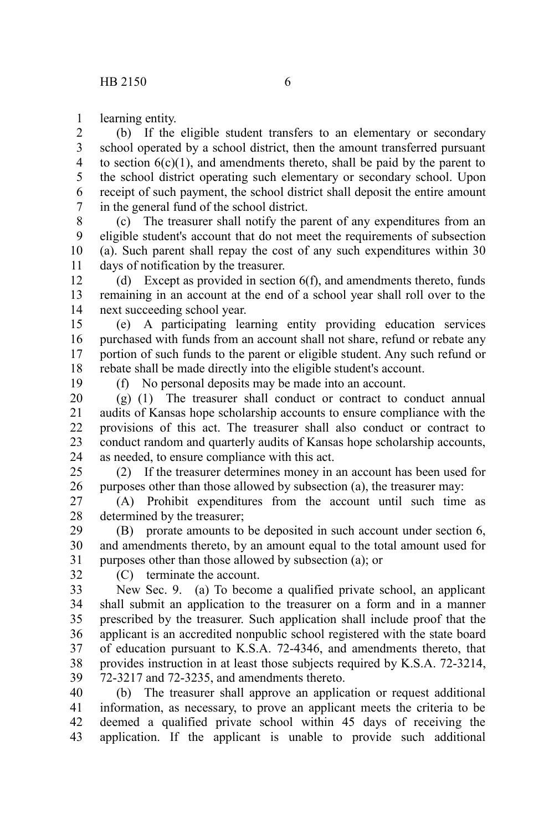learning entity. 1

(b) If the eligible student transfers to an elementary or secondary school operated by a school district, then the amount transferred pursuant to section  $6(c)(1)$ , and amendments thereto, shall be paid by the parent to the school district operating such elementary or secondary school. Upon receipt of such payment, the school district shall deposit the entire amount in the general fund of the school district. 2 3 4 5 6 7

(c) The treasurer shall notify the parent of any expenditures from an eligible student's account that do not meet the requirements of subsection (a). Such parent shall repay the cost of any such expenditures within 30 days of notification by the treasurer. 8 9 10 11

(d) Except as provided in section 6(f), and amendments thereto, funds remaining in an account at the end of a school year shall roll over to the next succeeding school year. 12 13 14

(e) A participating learning entity providing education services purchased with funds from an account shall not share, refund or rebate any portion of such funds to the parent or eligible student. Any such refund or rebate shall be made directly into the eligible student's account. 15 16 17 18

19

(f) No personal deposits may be made into an account.

(g) (1) The treasurer shall conduct or contract to conduct annual audits of Kansas hope scholarship accounts to ensure compliance with the provisions of this act. The treasurer shall also conduct or contract to conduct random and quarterly audits of Kansas hope scholarship accounts, as needed, to ensure compliance with this act. 20 21 22 23 24

(2) If the treasurer determines money in an account has been used for purposes other than those allowed by subsection (a), the treasurer may: 25 26

(A) Prohibit expenditures from the account until such time as determined by the treasurer; 27 28

(B) prorate amounts to be deposited in such account under section 6, and amendments thereto, by an amount equal to the total amount used for purposes other than those allowed by subsection (a); or 29 30 31

32

(C) terminate the account.

New Sec. 9. (a) To become a qualified private school, an applicant shall submit an application to the treasurer on a form and in a manner prescribed by the treasurer. Such application shall include proof that the applicant is an accredited nonpublic school registered with the state board of education pursuant to K.S.A. 72-4346, and amendments thereto, that provides instruction in at least those subjects required by K.S.A. 72-3214, 72-3217 and 72-3235, and amendments thereto. 33 34 35 36 37 38 39

(b) The treasurer shall approve an application or request additional information, as necessary, to prove an applicant meets the criteria to be deemed a qualified private school within 45 days of receiving the application. If the applicant is unable to provide such additional 40 41 42 43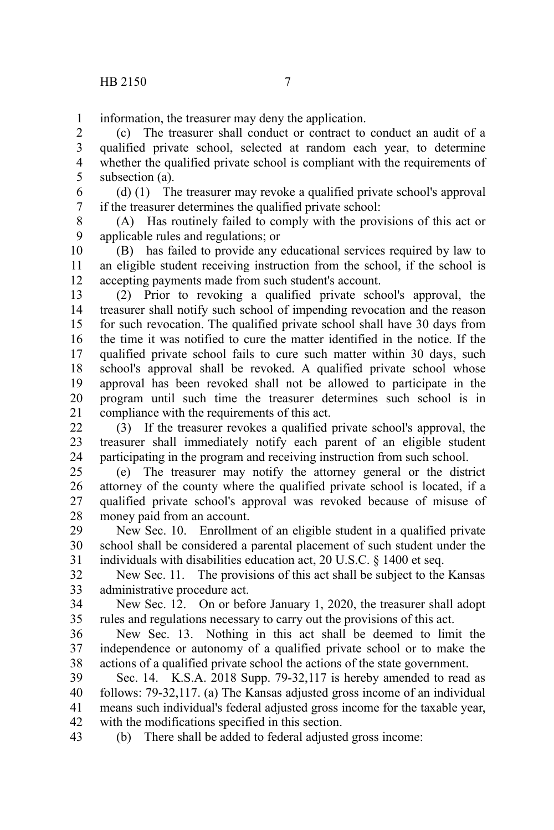information, the treasurer may deny the application. 1

(c) The treasurer shall conduct or contract to conduct an audit of a qualified private school, selected at random each year, to determine whether the qualified private school is compliant with the requirements of subsection (a). 2 3 4 5

(d) (1) The treasurer may revoke a qualified private school's approval if the treasurer determines the qualified private school: 6 7

(A) Has routinely failed to comply with the provisions of this act or applicable rules and regulations; or 8 9

(B) has failed to provide any educational services required by law to an eligible student receiving instruction from the school, if the school is accepting payments made from such student's account. 10 11 12

(2) Prior to revoking a qualified private school's approval, the treasurer shall notify such school of impending revocation and the reason for such revocation. The qualified private school shall have 30 days from the time it was notified to cure the matter identified in the notice. If the qualified private school fails to cure such matter within 30 days, such school's approval shall be revoked. A qualified private school whose approval has been revoked shall not be allowed to participate in the program until such time the treasurer determines such school is in compliance with the requirements of this act. 13 14 15 16 17 18 19 20 21

(3) If the treasurer revokes a qualified private school's approval, the treasurer shall immediately notify each parent of an eligible student participating in the program and receiving instruction from such school. 22 23 24

(e) The treasurer may notify the attorney general or the district attorney of the county where the qualified private school is located, if a qualified private school's approval was revoked because of misuse of money paid from an account. 25 26 27 28

New Sec. 10. Enrollment of an eligible student in a qualified private school shall be considered a parental placement of such student under the individuals with disabilities education act, 20 U.S.C. § 1400 et seq. 29 30 31

New Sec. 11. The provisions of this act shall be subject to the Kansas administrative procedure act. 32 33

New Sec. 12. On or before January 1, 2020, the treasurer shall adopt rules and regulations necessary to carry out the provisions of this act. 34 35

New Sec. 13. Nothing in this act shall be deemed to limit the independence or autonomy of a qualified private school or to make the actions of a qualified private school the actions of the state government. 36 37 38

Sec. 14. K.S.A. 2018 Supp. 79-32,117 is hereby amended to read as follows: 79-32,117. (a) The Kansas adjusted gross income of an individual means such individual's federal adjusted gross income for the taxable year, with the modifications specified in this section. 39 40 41 42

(b) There shall be added to federal adjusted gross income: 43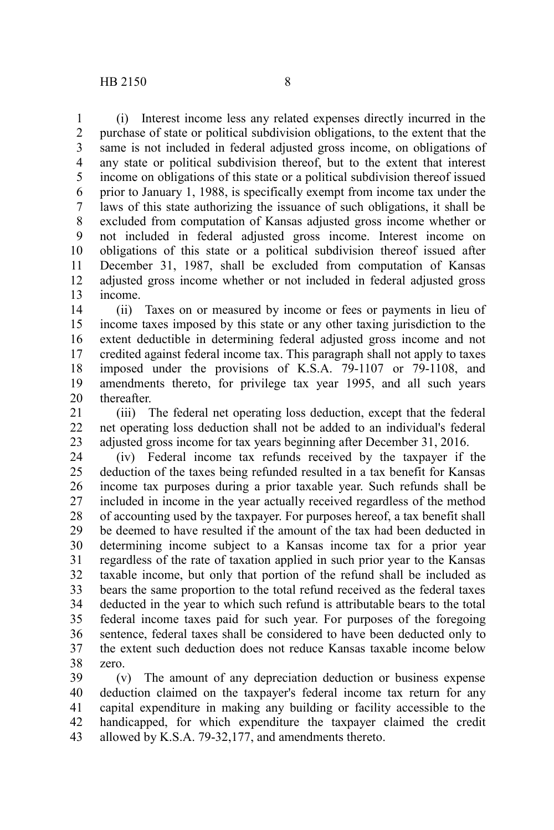(i) Interest income less any related expenses directly incurred in the purchase of state or political subdivision obligations, to the extent that the same is not included in federal adjusted gross income, on obligations of any state or political subdivision thereof, but to the extent that interest income on obligations of this state or a political subdivision thereof issued prior to January 1, 1988, is specifically exempt from income tax under the laws of this state authorizing the issuance of such obligations, it shall be excluded from computation of Kansas adjusted gross income whether or not included in federal adjusted gross income. Interest income on obligations of this state or a political subdivision thereof issued after December 31, 1987, shall be excluded from computation of Kansas adjusted gross income whether or not included in federal adjusted gross income. 1 2 3 4 5 6 7 8 9 10 11 12 13

(ii) Taxes on or measured by income or fees or payments in lieu of income taxes imposed by this state or any other taxing jurisdiction to the extent deductible in determining federal adjusted gross income and not credited against federal income tax. This paragraph shall not apply to taxes imposed under the provisions of K.S.A. 79-1107 or 79-1108, and amendments thereto, for privilege tax year 1995, and all such years thereafter. 14 15 16 17 18 19 20

(iii) The federal net operating loss deduction, except that the federal net operating loss deduction shall not be added to an individual's federal adjusted gross income for tax years beginning after December 31, 2016. 21 22 23

(iv) Federal income tax refunds received by the taxpayer if the deduction of the taxes being refunded resulted in a tax benefit for Kansas income tax purposes during a prior taxable year. Such refunds shall be included in income in the year actually received regardless of the method of accounting used by the taxpayer. For purposes hereof, a tax benefit shall be deemed to have resulted if the amount of the tax had been deducted in determining income subject to a Kansas income tax for a prior year regardless of the rate of taxation applied in such prior year to the Kansas taxable income, but only that portion of the refund shall be included as bears the same proportion to the total refund received as the federal taxes deducted in the year to which such refund is attributable bears to the total federal income taxes paid for such year. For purposes of the foregoing sentence, federal taxes shall be considered to have been deducted only to the extent such deduction does not reduce Kansas taxable income below zero. 24 25 26 27 28 29 30 31 32 33 34 35 36 37 38

(v) The amount of any depreciation deduction or business expense deduction claimed on the taxpayer's federal income tax return for any capital expenditure in making any building or facility accessible to the handicapped, for which expenditure the taxpayer claimed the credit allowed by K.S.A. 79-32,177, and amendments thereto. 39 40 41 42 43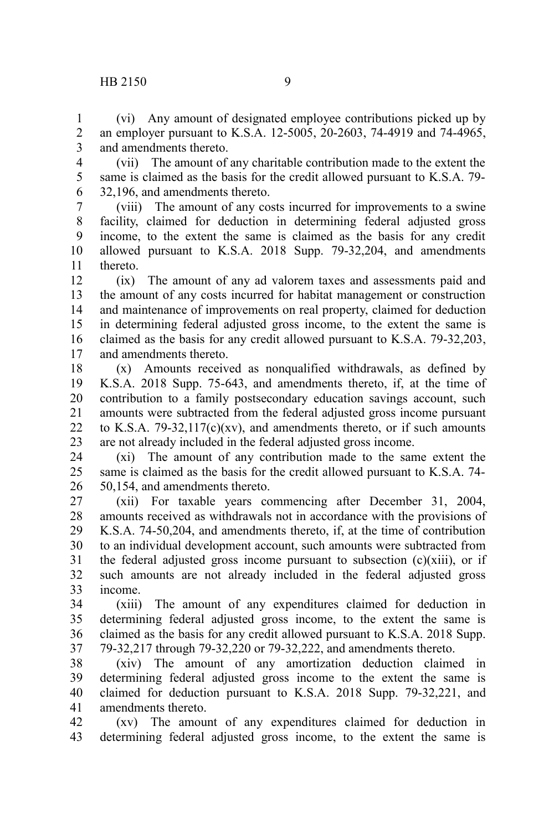1 2

(vi) Any amount of designated employee contributions picked up by an employer pursuant to K.S.A. 12-5005, 20-2603, 74-4919 and 74-4965,

and amendments thereto. 3

(vii) The amount of any charitable contribution made to the extent the same is claimed as the basis for the credit allowed pursuant to K.S.A. 79- 32,196, and amendments thereto. 4 5 6

(viii) The amount of any costs incurred for improvements to a swine facility, claimed for deduction in determining federal adjusted gross income, to the extent the same is claimed as the basis for any credit allowed pursuant to K.S.A. 2018 Supp. 79-32,204, and amendments thereto. 7 8 9 10 11

(ix) The amount of any ad valorem taxes and assessments paid and the amount of any costs incurred for habitat management or construction and maintenance of improvements on real property, claimed for deduction in determining federal adjusted gross income, to the extent the same is claimed as the basis for any credit allowed pursuant to K.S.A. 79-32,203, and amendments thereto. 12 13 14 15 16 17

(x) Amounts received as nonqualified withdrawals, as defined by K.S.A. 2018 Supp. 75-643, and amendments thereto, if, at the time of contribution to a family postsecondary education savings account, such amounts were subtracted from the federal adjusted gross income pursuant to K.S.A.  $79-32,117(c)(xv)$ , and amendments thereto, or if such amounts are not already included in the federal adjusted gross income. 18 19 20 21 22 23

(xi) The amount of any contribution made to the same extent the same is claimed as the basis for the credit allowed pursuant to K.S.A. 74- 50,154, and amendments thereto. 24 25 26

(xii) For taxable years commencing after December 31, 2004, amounts received as withdrawals not in accordance with the provisions of K.S.A. 74-50,204, and amendments thereto, if, at the time of contribution to an individual development account, such amounts were subtracted from the federal adjusted gross income pursuant to subsection  $(c)(xiii)$ , or if such amounts are not already included in the federal adjusted gross income. 27 28 29 30 31 32 33

(xiii) The amount of any expenditures claimed for deduction in determining federal adjusted gross income, to the extent the same is claimed as the basis for any credit allowed pursuant to K.S.A. 2018 Supp. 79-32,217 through 79-32,220 or 79-32,222, and amendments thereto. 34 35 36 37

(xiv) The amount of any amortization deduction claimed in determining federal adjusted gross income to the extent the same is claimed for deduction pursuant to K.S.A. 2018 Supp. 79-32,221, and amendments thereto. 38 39 40 41

(xv) The amount of any expenditures claimed for deduction in determining federal adjusted gross income, to the extent the same is 42 43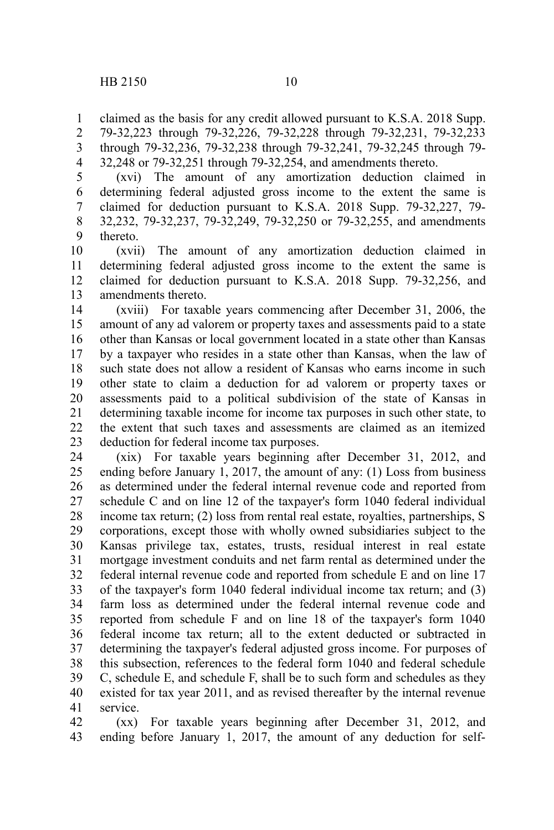claimed as the basis for any credit allowed pursuant to K.S.A. 2018 Supp. 79-32,223 through 79-32,226, 79-32,228 through 79-32,231, 79-32,233 through 79-32,236, 79-32,238 through 79-32,241, 79-32,245 through 79- 32,248 or 79-32,251 through 79-32,254, and amendments thereto. 1 2 3 4

(xvi) The amount of any amortization deduction claimed in determining federal adjusted gross income to the extent the same is claimed for deduction pursuant to K.S.A. 2018 Supp. 79-32,227, 79- 32,232, 79-32,237, 79-32,249, 79-32,250 or 79-32,255, and amendments thereto. 5 6 7 8 9

(xvii) The amount of any amortization deduction claimed in determining federal adjusted gross income to the extent the same is claimed for deduction pursuant to K.S.A. 2018 Supp. 79-32,256, and amendments thereto. 10 11 12 13

(xviii) For taxable years commencing after December 31, 2006, the amount of any ad valorem or property taxes and assessments paid to a state other than Kansas or local government located in a state other than Kansas by a taxpayer who resides in a state other than Kansas, when the law of such state does not allow a resident of Kansas who earns income in such other state to claim a deduction for ad valorem or property taxes or assessments paid to a political subdivision of the state of Kansas in determining taxable income for income tax purposes in such other state, to the extent that such taxes and assessments are claimed as an itemized deduction for federal income tax purposes. 14 15 16 17 18 19 20 21 22 23

(xix) For taxable years beginning after December 31, 2012, and ending before January 1, 2017, the amount of any: (1) Loss from business as determined under the federal internal revenue code and reported from schedule C and on line 12 of the taxpayer's form 1040 federal individual income tax return; (2) loss from rental real estate, royalties, partnerships, S corporations, except those with wholly owned subsidiaries subject to the Kansas privilege tax, estates, trusts, residual interest in real estate mortgage investment conduits and net farm rental as determined under the federal internal revenue code and reported from schedule E and on line 17 of the taxpayer's form 1040 federal individual income tax return; and (3) farm loss as determined under the federal internal revenue code and reported from schedule F and on line 18 of the taxpayer's form 1040 federal income tax return; all to the extent deducted or subtracted in determining the taxpayer's federal adjusted gross income. For purposes of this subsection, references to the federal form 1040 and federal schedule C, schedule E, and schedule F, shall be to such form and schedules as they existed for tax year 2011, and as revised thereafter by the internal revenue service. 24 25 26 27 28 29 30 31 32 33 34 35 36 37 38 39 40 41

(xx) For taxable years beginning after December 31, 2012, and ending before January 1, 2017, the amount of any deduction for self-42 43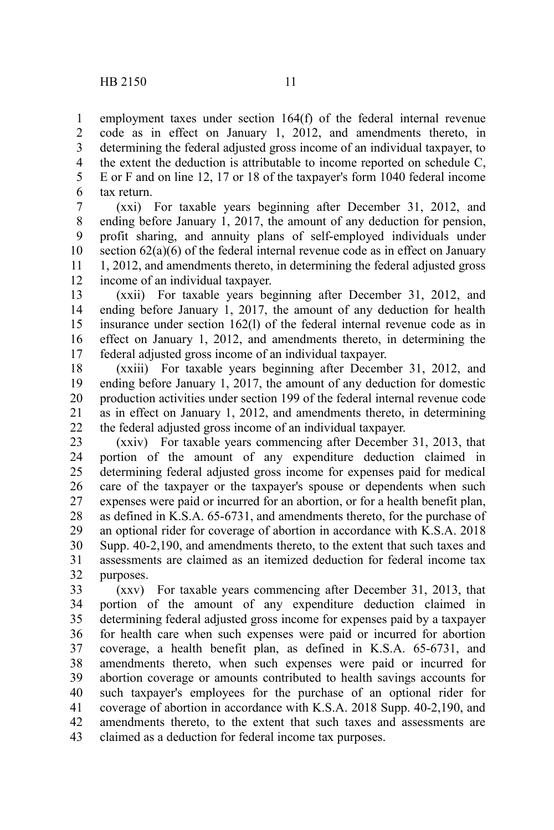employment taxes under section 164(f) of the federal internal revenue code as in effect on January 1, 2012, and amendments thereto, in determining the federal adjusted gross income of an individual taxpayer, to the extent the deduction is attributable to income reported on schedule C, E or F and on line 12, 17 or 18 of the taxpayer's form 1040 federal income tax return. 1 2 3 4 5 6

(xxi) For taxable years beginning after December 31, 2012, and ending before January 1, 2017, the amount of any deduction for pension, profit sharing, and annuity plans of self-employed individuals under section 62(a)(6) of the federal internal revenue code as in effect on January 1, 2012, and amendments thereto, in determining the federal adjusted gross income of an individual taxpayer. 7 8 9 10 11 12

(xxii) For taxable years beginning after December 31, 2012, and ending before January 1, 2017, the amount of any deduction for health insurance under section 162(l) of the federal internal revenue code as in effect on January 1, 2012, and amendments thereto, in determining the federal adjusted gross income of an individual taxpayer. 13 14 15 16 17

(xxiii) For taxable years beginning after December 31, 2012, and ending before January 1, 2017, the amount of any deduction for domestic production activities under section 199 of the federal internal revenue code as in effect on January 1, 2012, and amendments thereto, in determining the federal adjusted gross income of an individual taxpayer. 18 19 20 21 22

(xxiv) For taxable years commencing after December 31, 2013, that portion of the amount of any expenditure deduction claimed in determining federal adjusted gross income for expenses paid for medical care of the taxpayer or the taxpayer's spouse or dependents when such expenses were paid or incurred for an abortion, or for a health benefit plan, as defined in K.S.A. 65-6731, and amendments thereto, for the purchase of an optional rider for coverage of abortion in accordance with K.S.A. 2018 Supp. 40-2,190, and amendments thereto, to the extent that such taxes and assessments are claimed as an itemized deduction for federal income tax purposes. 23 24 25 26 27 28 29 30 31 32

(xxv) For taxable years commencing after December 31, 2013, that portion of the amount of any expenditure deduction claimed in determining federal adjusted gross income for expenses paid by a taxpayer for health care when such expenses were paid or incurred for abortion coverage, a health benefit plan, as defined in K.S.A. 65-6731, and amendments thereto, when such expenses were paid or incurred for abortion coverage or amounts contributed to health savings accounts for such taxpayer's employees for the purchase of an optional rider for coverage of abortion in accordance with K.S.A. 2018 Supp. 40-2,190, and amendments thereto, to the extent that such taxes and assessments are claimed as a deduction for federal income tax purposes. 33 34 35 36 37 38 39 40 41 42 43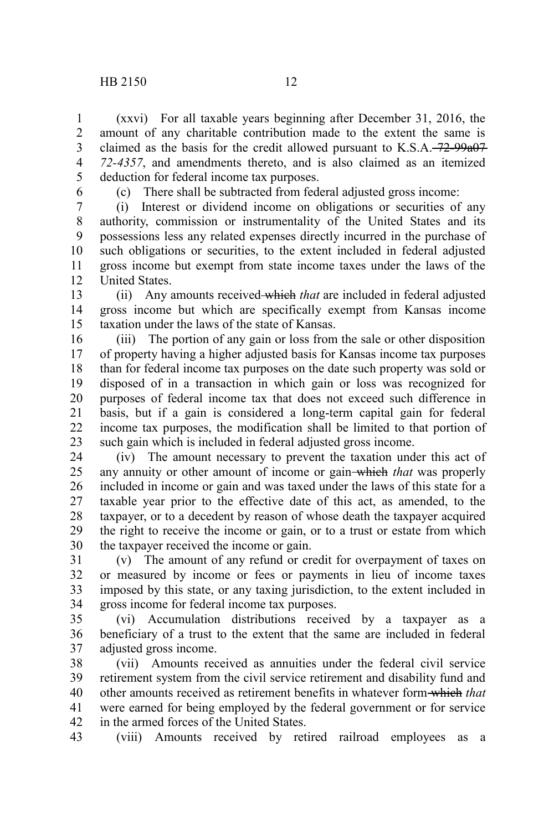(xxvi) For all taxable years beginning after December 31, 2016, the amount of any charitable contribution made to the extent the same is claimed as the basis for the credit allowed pursuant to  $K.S.A. -72-99a07$ *72-4357*, and amendments thereto, and is also claimed as an itemized deduction for federal income tax purposes. 1 2 3 4 5

6

(c) There shall be subtracted from federal adjusted gross income:

(i) Interest or dividend income on obligations or securities of any authority, commission or instrumentality of the United States and its possessions less any related expenses directly incurred in the purchase of such obligations or securities, to the extent included in federal adjusted gross income but exempt from state income taxes under the laws of the United States. 7 8 9 10 11 12

(ii) Any amounts received which *that* are included in federal adjusted gross income but which are specifically exempt from Kansas income taxation under the laws of the state of Kansas. 13 14 15

(iii) The portion of any gain or loss from the sale or other disposition of property having a higher adjusted basis for Kansas income tax purposes than for federal income tax purposes on the date such property was sold or disposed of in a transaction in which gain or loss was recognized for purposes of federal income tax that does not exceed such difference in basis, but if a gain is considered a long-term capital gain for federal income tax purposes, the modification shall be limited to that portion of such gain which is included in federal adjusted gross income. 16 17 18 19 20 21 22 23

(iv) The amount necessary to prevent the taxation under this act of any annuity or other amount of income or gain which *that* was properly included in income or gain and was taxed under the laws of this state for a taxable year prior to the effective date of this act, as amended, to the taxpayer, or to a decedent by reason of whose death the taxpayer acquired the right to receive the income or gain, or to a trust or estate from which the taxpayer received the income or gain. 24 25 26 27 28 29 30

(v) The amount of any refund or credit for overpayment of taxes on or measured by income or fees or payments in lieu of income taxes imposed by this state, or any taxing jurisdiction, to the extent included in gross income for federal income tax purposes. 31 32 33 34

(vi) Accumulation distributions received by a taxpayer as a beneficiary of a trust to the extent that the same are included in federal adjusted gross income. 35 36 37

(vii) Amounts received as annuities under the federal civil service retirement system from the civil service retirement and disability fund and other amounts received as retirement benefits in whatever form which *that* were earned for being employed by the federal government or for service in the armed forces of the United States. 38 39 40 41 42

(viii) Amounts received by retired railroad employees as a 43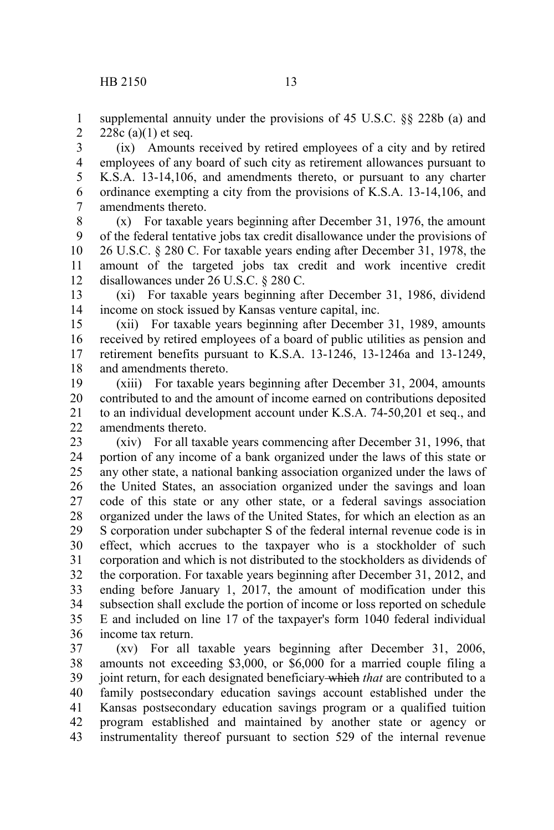1

supplemental annuity under the provisions of 45 U.S.C. §§ 228b (a) and 228c (a) $(1)$  et seq. 2

(ix) Amounts received by retired employees of a city and by retired employees of any board of such city as retirement allowances pursuant to K.S.A. 13-14,106, and amendments thereto, or pursuant to any charter ordinance exempting a city from the provisions of K.S.A. 13-14,106, and amendments thereto. 3 4 5 6 7

(x) For taxable years beginning after December 31, 1976, the amount of the federal tentative jobs tax credit disallowance under the provisions of 26 U.S.C. § 280 C. For taxable years ending after December 31, 1978, the amount of the targeted jobs tax credit and work incentive credit disallowances under 26 U.S.C. § 280 C. 8 9 10 11 12

(xi) For taxable years beginning after December 31, 1986, dividend income on stock issued by Kansas venture capital, inc. 13 14

(xii) For taxable years beginning after December 31, 1989, amounts received by retired employees of a board of public utilities as pension and retirement benefits pursuant to K.S.A. 13-1246, 13-1246a and 13-1249, and amendments thereto. 15 16 17 18

(xiii) For taxable years beginning after December 31, 2004, amounts contributed to and the amount of income earned on contributions deposited to an individual development account under K.S.A. 74-50,201 et seq., and amendments thereto. 19 20 21 22

(xiv) For all taxable years commencing after December 31, 1996, that portion of any income of a bank organized under the laws of this state or any other state, a national banking association organized under the laws of the United States, an association organized under the savings and loan code of this state or any other state, or a federal savings association organized under the laws of the United States, for which an election as an S corporation under subchapter S of the federal internal revenue code is in effect, which accrues to the taxpayer who is a stockholder of such corporation and which is not distributed to the stockholders as dividends of the corporation. For taxable years beginning after December 31, 2012, and ending before January 1, 2017, the amount of modification under this subsection shall exclude the portion of income or loss reported on schedule E and included on line 17 of the taxpayer's form 1040 federal individual income tax return. 23 24 25 26 27 28 29 30 31 32 33 34 35 36

(xv) For all taxable years beginning after December 31, 2006, amounts not exceeding \$3,000, or \$6,000 for a married couple filing a joint return, for each designated beneficiary which *that* are contributed to a family postsecondary education savings account established under the Kansas postsecondary education savings program or a qualified tuition program established and maintained by another state or agency or instrumentality thereof pursuant to section 529 of the internal revenue 37 38 39 40 41 42 43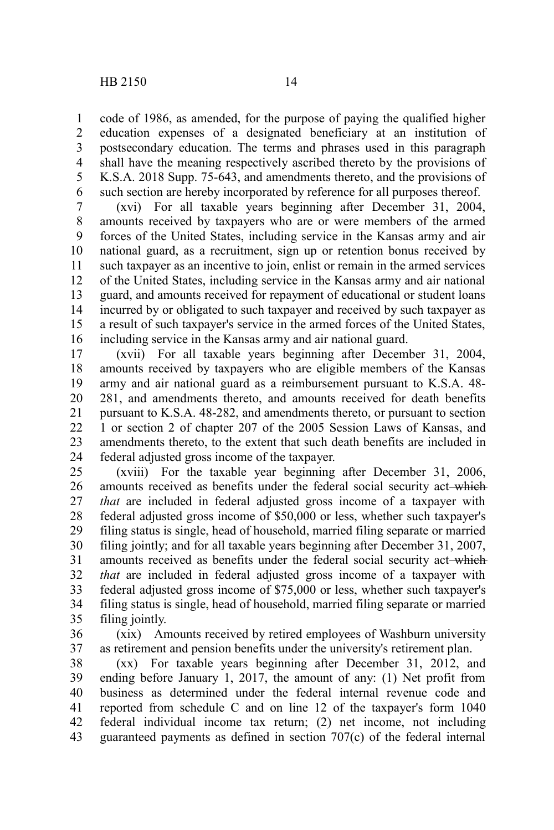code of 1986, as amended, for the purpose of paying the qualified higher education expenses of a designated beneficiary at an institution of postsecondary education. The terms and phrases used in this paragraph shall have the meaning respectively ascribed thereto by the provisions of K.S.A. 2018 Supp. 75-643, and amendments thereto, and the provisions of such section are hereby incorporated by reference for all purposes thereof. 1 2 3 4 5 6

(xvi) For all taxable years beginning after December 31, 2004, amounts received by taxpayers who are or were members of the armed forces of the United States, including service in the Kansas army and air national guard, as a recruitment, sign up or retention bonus received by such taxpayer as an incentive to join, enlist or remain in the armed services of the United States, including service in the Kansas army and air national guard, and amounts received for repayment of educational or student loans incurred by or obligated to such taxpayer and received by such taxpayer as a result of such taxpayer's service in the armed forces of the United States, including service in the Kansas army and air national guard. 7 8 9 10 11 12 13 14 15 16

(xvii) For all taxable years beginning after December 31, 2004, amounts received by taxpayers who are eligible members of the Kansas army and air national guard as a reimbursement pursuant to K.S.A. 48- 281, and amendments thereto, and amounts received for death benefits pursuant to K.S.A. 48-282, and amendments thereto, or pursuant to section 1 or section 2 of chapter 207 of the 2005 Session Laws of Kansas, and amendments thereto, to the extent that such death benefits are included in federal adjusted gross income of the taxpayer. 17 18 19 20 21 22 23 24

(xviii) For the taxable year beginning after December 31, 2006, amounts received as benefits under the federal social security act-which *that* are included in federal adjusted gross income of a taxpayer with federal adjusted gross income of \$50,000 or less, whether such taxpayer's filing status is single, head of household, married filing separate or married filing jointly; and for all taxable years beginning after December 31, 2007, amounts received as benefits under the federal social security act-which *that* are included in federal adjusted gross income of a taxpayer with federal adjusted gross income of \$75,000 or less, whether such taxpayer's filing status is single, head of household, married filing separate or married filing jointly. 25 26 27 28 29 30 31 32 33 34 35

(xix) Amounts received by retired employees of Washburn university as retirement and pension benefits under the university's retirement plan. 36 37

(xx) For taxable years beginning after December 31, 2012, and ending before January 1, 2017, the amount of any: (1) Net profit from business as determined under the federal internal revenue code and reported from schedule C and on line 12 of the taxpayer's form 1040 federal individual income tax return; (2) net income, not including guaranteed payments as defined in section 707(c) of the federal internal 38 39 40 41 42 43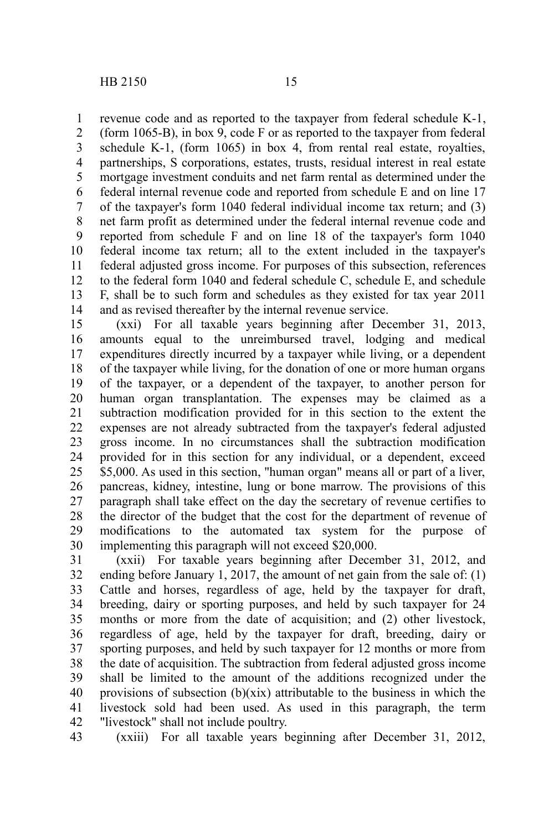revenue code and as reported to the taxpayer from federal schedule K-1, 1

(form 1065-B), in box 9, code F or as reported to the taxpayer from federal schedule K-1, (form 1065) in box 4, from rental real estate, royalties, partnerships, S corporations, estates, trusts, residual interest in real estate mortgage investment conduits and net farm rental as determined under the federal internal revenue code and reported from schedule E and on line 17 of the taxpayer's form 1040 federal individual income tax return; and (3) net farm profit as determined under the federal internal revenue code and reported from schedule F and on line 18 of the taxpayer's form 1040 federal income tax return; all to the extent included in the taxpayer's federal adjusted gross income. For purposes of this subsection, references to the federal form 1040 and federal schedule C, schedule E, and schedule F, shall be to such form and schedules as they existed for tax year 2011 and as revised thereafter by the internal revenue service. 2 3 4 5 6 7 8 9 10 11 12 13 14

(xxi) For all taxable years beginning after December 31, 2013, amounts equal to the unreimbursed travel, lodging and medical expenditures directly incurred by a taxpayer while living, or a dependent of the taxpayer while living, for the donation of one or more human organs of the taxpayer, or a dependent of the taxpayer, to another person for human organ transplantation. The expenses may be claimed as a subtraction modification provided for in this section to the extent the expenses are not already subtracted from the taxpayer's federal adjusted gross income. In no circumstances shall the subtraction modification provided for in this section for any individual, or a dependent, exceed \$5,000. As used in this section, "human organ" means all or part of a liver, pancreas, kidney, intestine, lung or bone marrow. The provisions of this paragraph shall take effect on the day the secretary of revenue certifies to the director of the budget that the cost for the department of revenue of modifications to the automated tax system for the purpose of implementing this paragraph will not exceed \$20,000. 15 16 17 18 19 20 21 22 23 24 25 26 27 28 29 30

(xxii) For taxable years beginning after December 31, 2012, and ending before January 1, 2017, the amount of net gain from the sale of: (1) Cattle and horses, regardless of age, held by the taxpayer for draft, breeding, dairy or sporting purposes, and held by such taxpayer for 24 months or more from the date of acquisition; and (2) other livestock, regardless of age, held by the taxpayer for draft, breeding, dairy or sporting purposes, and held by such taxpayer for 12 months or more from the date of acquisition. The subtraction from federal adjusted gross income shall be limited to the amount of the additions recognized under the provisions of subsection (b)(xix) attributable to the business in which the livestock sold had been used. As used in this paragraph, the term "livestock" shall not include poultry. 31 32 33 34 35 36 37 38 39 40 41 42

(xxiii) For all taxable years beginning after December 31, 2012, 43